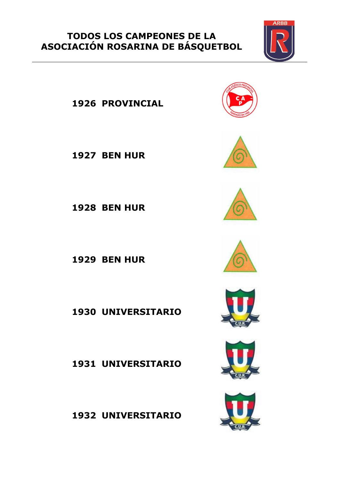**PROVINCIAL**

**BEN HUR**

**BEN HUR**

**BEN HUR**

**UNIVERSITARIO**

**UNIVERSITARIO**

**UNIVERSITARIO**















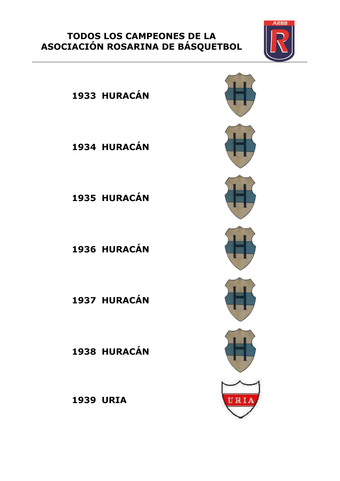

 **HURACÁN HURACÁN HURACÁN HURACÁN**

**HURACÁN**

**HURACÁN**

**URIA**

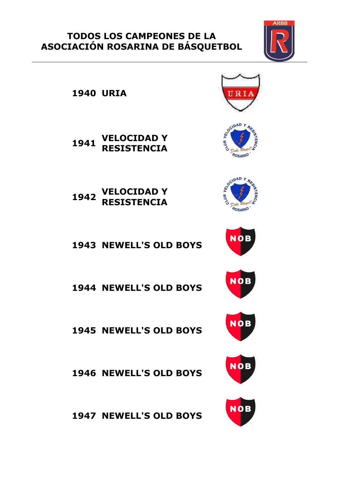

**URIA**

 **VELOCIDAD Y RESISTENCIA**

 **VELOCIDAD Y RESISTENCIA**

**NEWELL'S OLD BOYS**

**NEWELL'S OLD BOYS**

**NEWELL'S OLD BOYS**

**NEWELL'S OLD BOYS**

**NEWELL'S OLD BOYS**





ROSARIO









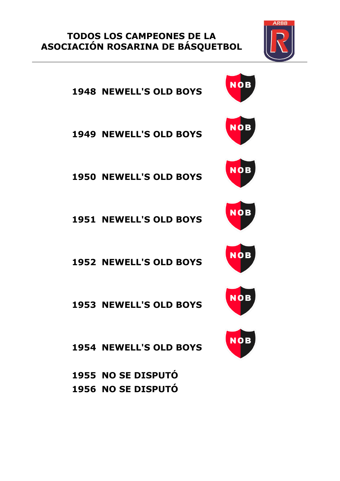

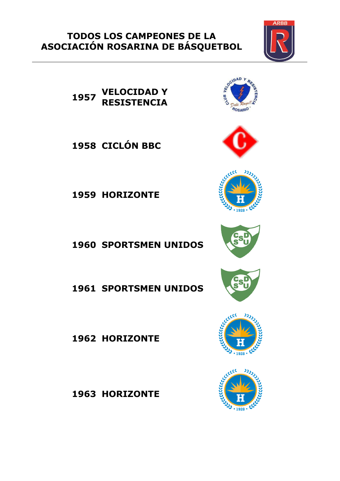**VELOCIDAD Y RESISTENCIA**

**CICLÓN BBC**

**HORIZONTE**

**SPORTSMEN UNIDOS**

**SPORTSMEN UNIDOS**

**HORIZONTE**

**HORIZONTE**

ROSARIO















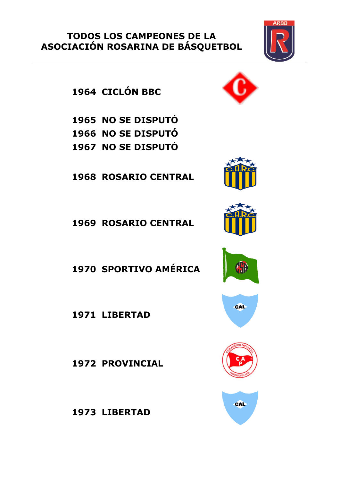**CICLÓN BBC**

 **NO SE DISPUTÓ NO SE DISPUTÓ NO SE DISPUTÓ**

**ROSARIO CENTRAL**

**ROSARIO CENTRAL**

**SPORTIVO AMÉRICA**

**LIBERTAD**

**PROVINCIAL**

**LIBERTAD**















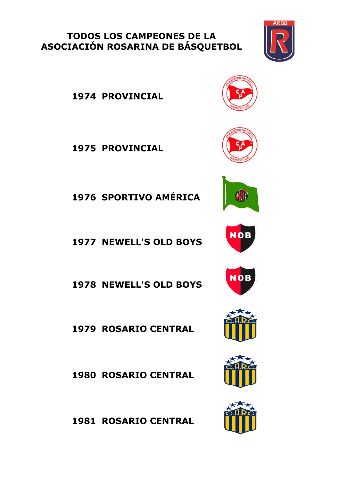

**PROVINCIAL**

**PROVINCIAL**

**SPORTIVO AMÉRICA**

**NEWELL'S OLD BOYS**

**NEWELL'S OLD BOYS**

**ROSARIO CENTRAL**

**ROSARIO CENTRAL**

**ROSARIO CENTRAL**













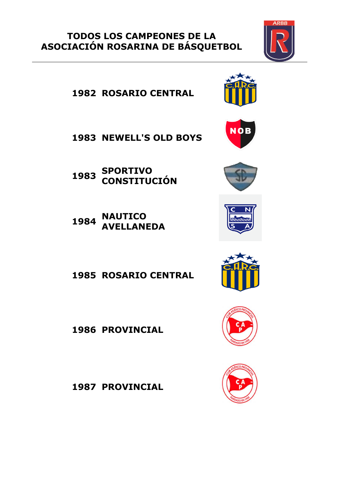**ROSARIO CENTRAL**

**NEWELL'S OLD BOYS**

 **SPORTIVO CONSTITUCIÓN**

 **NAUTICO AVELLANEDA**

**ROSARIO CENTRAL**

**PROVINCIAL**

**PROVINCIAL**

















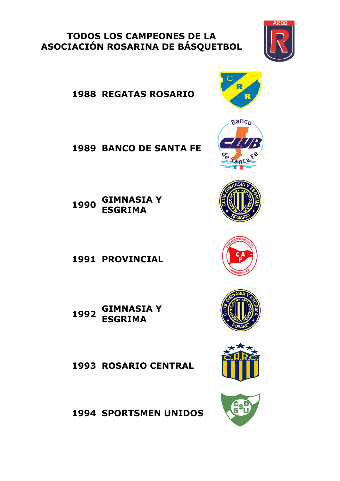**REGATAS ROSARIO**

**BANCO DE SANTA FE**

 **GIMNASIA Y ESGRIMA**

**PROVINCIAL**

 **GIMNASIA Y ESGRIMA**

**ROSARIO CENTRAL**

**SPORTSMEN UNIDOS**















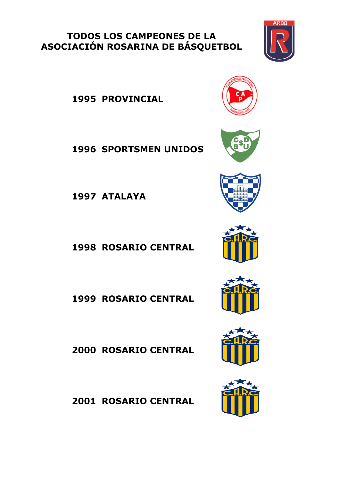**PROVINCIAL**

**SPORTSMEN UNIDOS**

**ATALAYA**

**ROSARIO CENTRAL**

**ROSARIO CENTRAL**

**ROSARIO CENTRAL**

**ROSARIO CENTRAL**













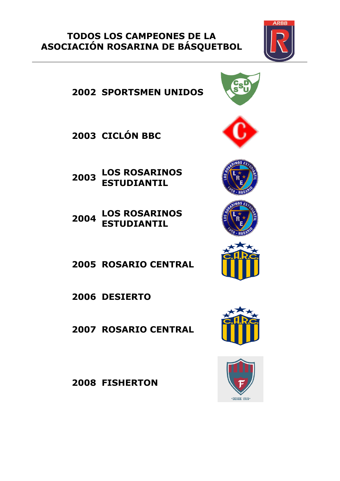

- **CICLÓN BBC**
- **LOS ROSARINOS ESTUDIANTIL**
- **LOS ROSARINOS ESTUDIANTIL**
- **ROSARIO CENTRAL**
- **DESIERTO**
- **ROSARIO CENTRAL**

**FISHERTON**













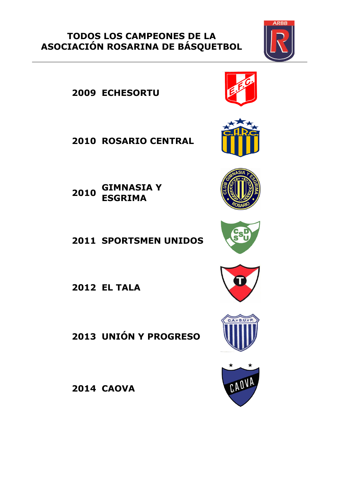**ECHESORTU**

**ROSARIO CENTRAL**

 **GIMNASIA Y ESGRIMA**

**SPORTSMEN UNIDOS**

**EL TALA**

**UNIÓN Y PROGRESO**

**CAOVA**